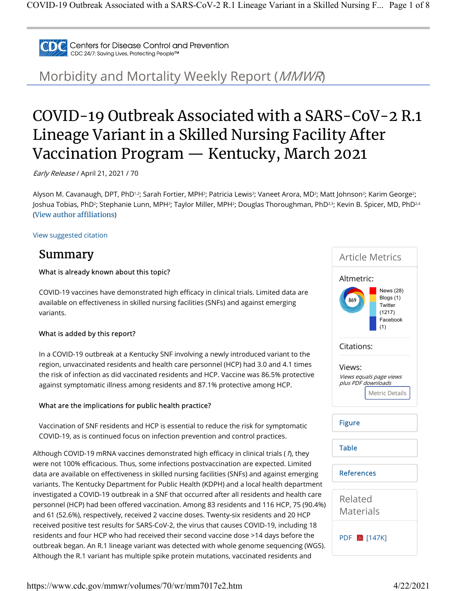

Centers for Disease Control and Prevention CDC 24/7: Saving Lives, Protecting People™

Morbidity and Mortality Weekly Report (MMWR)

# COVID-19 Outbreak Associated with a SARS-CoV-2 R.1 Lineage Variant in a Skilled Nursing Facility After Vaccination Program — Kentucky, March 2021

Early Release / April 21, 2021 / 70

Alyson M. Cavanaugh, DPT, PhD12; Sarah Fortier, MPH2; Patricia Lewis2; Vaneet Arora, MD2; Matt Johnson2; Karim George2; Joshua Tobias, PhD²; Stephanie Lunn, MPH²; Taylor Miller, MPH²; Douglas Thoroughman, PhDય ; Kevin B. Spicer, MD, PhDય4 (View author affiliations)

View suggested citation

#### Summary

#### What is already known about this topic?

COVID-19 vaccines have demonstrated high efficacy in clinical trials. Limited data are available on effectiveness in skilled nursing facilities (SNFs) and against emerging variants.

#### What is added by this report?

In a COVID-19 outbreak at a Kentucky SNF involving a newly introduced variant to the region, unvaccinated residents and health care personnel (HCP) had 3.0 and 4.1 times the risk of infection as did vaccinated residents and HCP. Vaccine was 86.5% protective against symptomatic illness among residents and 87.1% protective among HCP.

#### What are the implications for public health practice?

Vaccination of SNF residents and HCP is essential to reduce the risk for symptomatic COVID-19, as is continued focus on infection prevention and control practices.

Although COVID-19 mRNA vaccines demonstrated high efficacy in clinical trials (1), they were not 100% efficacious. Thus, some infections postvaccination are expected. Limited data are available on effectiveness in skilled nursing facilities (SNFs) and against emerging variants. The Kentucky Department for Public Health (KDPH) and a local health department investigated a COVID-19 outbreak in a SNF that occurred after all residents and health care personnel (HCP) had been offered vaccination. Among 83 residents and 116 HCP, 75 (90.4%) and 61 (52.6%), respectively, received 2 vaccine doses. Twenty-six residents and 20 HCP received positive test results for SARS-CoV-2, the virus that causes COVID-19, including 18 residents and four HCP who had received their second vaccine dose >14 days before the outbreak began. An R.1 lineage variant was detected with whole genome sequencing (WGS). Although the R.1 variant has multiple spike protein mutations, vaccinated residents and



https://www.cdc.gov/mmwr/volumes/70/wr/mm7017e2.htm 4/22/2021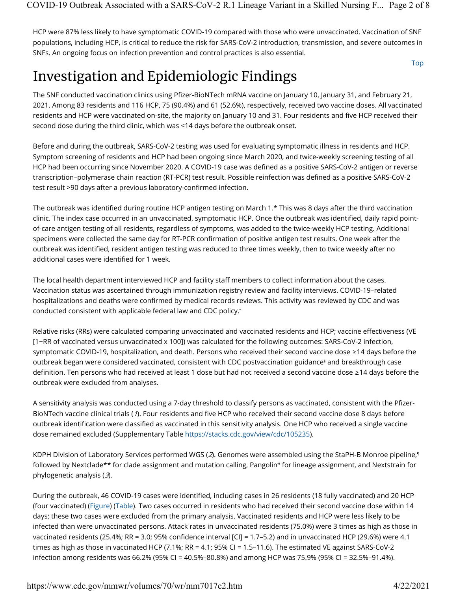HCP were 87% less likely to have symptomatic COVID-19 compared with those who were unvaccinated. Vaccination of SNF populations, including HCP, is critical to reduce the risk for SARS-CoV-2 introduction, transmission, and severe outcomes in SNFs. An ongoing focus on infection prevention and control practices is also essential.

## Investigation and Epidemiologic Findings

The SNF conducted vaccination clinics using Pfizer-BioNTech mRNA vaccine on January 10, January 31, and February 21, 2021. Among 83 residents and 116 HCP, 75 (90.4%) and 61 (52.6%), respectively, received two vaccine doses. All vaccinated residents and HCP were vaccinated on-site, the majority on January 10 and 31. Four residents and five HCP received their second dose during the third clinic, which was <14 days before the outbreak onset.

Before and during the outbreak, SARS-CoV-2 testing was used for evaluating symptomatic illness in residents and HCP. Symptom screening of residents and HCP had been ongoing since March 2020, and twice-weekly screening testing of all HCP had been occurring since November 2020. A COVID-19 case was defined as a positive SARS-CoV-2 antigen or reverse transcription–polymerase chain reaction (RT-PCR) test result. Possible reinfection was defined as a positive SARS-CoV-2 test result >90 days after a previous laboratory-confirmed infection.

The outbreak was identified during routine HCP antigen testing on March 1.\* This was 8 days after the third vaccination clinic. The index case occurred in an unvaccinated, symptomatic HCP. Once the outbreak was identified, daily rapid pointof-care antigen testing of all residents, regardless of symptoms, was added to the twice-weekly HCP testing. Additional specimens were collected the same day for RT-PCR confirmation of positive antigen test results. One week after the outbreak was identified, resident antigen testing was reduced to three times weekly, then to twice weekly after no additional cases were identified for 1 week.

The local health department interviewed HCP and facility staff members to collect information about the cases. Vaccination status was ascertained through immunization registry review and facility interviews. COVID-19–related hospitalizations and deaths were confirmed by medical records reviews. This activity was reviewed by CDC and was conducted consistent with applicable federal law and CDC policy. †

Relative risks (RRs) were calculated comparing unvaccinated and vaccinated residents and HCP; vaccine effectiveness (VE [1−RR of vaccinated versus unvaccinated x 100]) was calculated for the following outcomes: SARS-CoV-2 infection, symptomatic COVID-19, hospitalization, and death. Persons who received their second vaccine dose ≥14 days before the outbreak began were considered vaccinated, consistent with CDC postvaccination guidance§ and breakthrough case definition. Ten persons who had received at least 1 dose but had not received a second vaccine dose ≥14 days before the outbreak were excluded from analyses.

A sensitivity analysis was conducted using a 7-day threshold to classify persons as vaccinated, consistent with the Pfizer-BioNTech vaccine clinical trials (1). Four residents and five HCP who received their second vaccine dose 8 days before outbreak identification were classified as vaccinated in this sensitivity analysis. One HCP who received a single vaccine dose remained excluded (Supplementary Table https://stacks.cdc.gov/view/cdc/105235).

KDPH Division of Laboratory Services performed WGS (2). Genomes were assembled using the StaPH-B Monroe pipeline, ¶ followed by Nextclade\*\* for clade assignment and mutation calling, Pangolin" for lineage assignment, and Nextstrain for phylogenetic analysis  $(3)$ .

During the outbreak, 46 COVID-19 cases were identified, including cases in 26 residents (18 fully vaccinated) and 20 HCP (four vaccinated) (Figure) (Table). Two cases occurred in residents who had received their second vaccine dose within 14 days; these two cases were excluded from the primary analysis. Vaccinated residents and HCP were less likely to be infected than were unvaccinated persons. Attack rates in unvaccinated residents (75.0%) were 3 times as high as those in vaccinated residents (25.4%; RR = 3.0; 95% confidence interval [CI] = 1.7–5.2) and in unvaccinated HCP (29.6%) were 4.1 times as high as those in vaccinated HCP (7.1%; RR = 4.1; 95% CI = 1.5–11.6). The estimated VE against SARS-CoV-2 infection among residents was 66.2% (95% CI = 40.5%–80.8%) and among HCP was 75.9% (95% CI = 32.5%–91.4%).

Top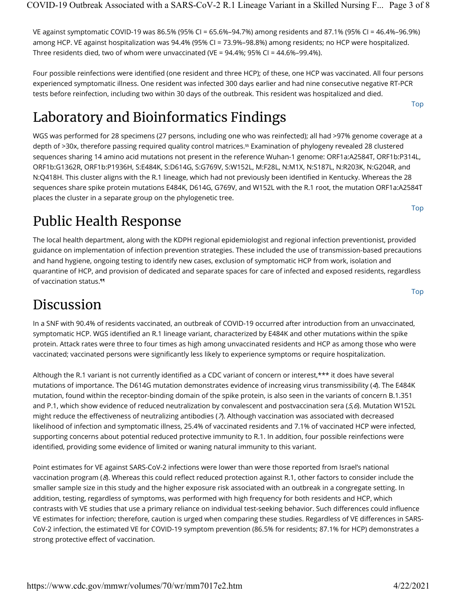VE against symptomatic COVID-19 was 86.5% (95% CI = 65.6%–94.7%) among residents and 87.1% (95% CI = 46.4%–96.9%) among HCP. VE against hospitalization was 94.4% (95% CI = 73.9%–98.8%) among residents; no HCP were hospitalized. Three residents died, two of whom were unvaccinated (VE =  $94.4\%$ ; 95% CI =  $44.6\%$ -99.4%).

Four possible reinfections were identified (one resident and three HCP); of these, one HCP was vaccinated. All four persons experienced symptomatic illness. One resident was infected 300 days earlier and had nine consecutive negative RT-PCR tests before reinfection, including two within 30 days of the outbreak. This resident was hospitalized and died.

## Laboratory and Bioinformatics Findings

WGS was performed for 28 specimens (27 persons, including one who was reinfected); all had >97% genome coverage at a depth of >30x, therefore passing required quality control matrices.<sup>§§</sup> Examination of phylogeny revealed 28 clustered sequences sharing 14 amino acid mutations not present in the reference Wuhan-1 genome: ORF1a:A2584T, ORF1b:P314L, ORF1b:G1362R, ORF1b:P1936H, S:E484K, S:D614G, S:G769V, S:W152L, M:F28L, N:M1X, N:S187L, N:R203K, N:G204R, and N:Q418H. This cluster aligns with the R.1 lineage, which had not previously been identified in Kentucky. Whereas the 28 sequences share spike protein mutations E484K, D614G, G769V, and W152L with the R.1 root, the mutation ORF1a:A2584T places the cluster in a separate group on the phylogenetic tree.

## Public Health Response

The local health department, along with the KDPH regional epidemiologist and regional infection preventionist, provided guidance on implementation of infection prevention strategies. These included the use of transmission-based precautions and hand hygiene, ongoing testing to identify new cases, exclusion of symptomatic HCP from work, isolation and quarantine of HCP, and provision of dedicated and separate spaces for care of infected and exposed residents, regardless of vaccination status. ¶¶

## Discussion

In a SNF with 90.4% of residents vaccinated, an outbreak of COVID-19 occurred after introduction from an unvaccinated, symptomatic HCP. WGS identified an R.1 lineage variant, characterized by E484K and other mutations within the spike protein. Attack rates were three to four times as high among unvaccinated residents and HCP as among those who were vaccinated; vaccinated persons were significantly less likely to experience symptoms or require hospitalization.

Although the R.1 variant is not currently identified as a CDC variant of concern or interest,\*\*\* it does have several mutations of importance. The D614G mutation demonstrates evidence of increasing virus transmissibility (4). The E484K mutation, found within the receptor-binding domain of the spike protein, is also seen in the variants of concern B.1.351 and P.1, which show evidence of reduced neutralization by convalescent and postvaccination sera  $(5,6)$ . Mutation W152L might reduce the effectiveness of neutralizing antibodies ( $\lambda$ ). Although vaccination was associated with decreased likelihood of infection and symptomatic illness, 25.4% of vaccinated residents and 7.1% of vaccinated HCP were infected, supporting concerns about potential reduced protective immunity to R.1. In addition, four possible reinfections were identified, providing some evidence of limited or waning natural immunity to this variant.

Point estimates for VE against SARS-CoV-2 infections were lower than were those reported from Israel's national vaccination program  $(8)$ . Whereas this could reflect reduced protection against R.1, other factors to consider include the smaller sample size in this study and the higher exposure risk associated with an outbreak in a congregate setting. In addition, testing, regardless of symptoms, was performed with high frequency for both residents and HCP, which contrasts with VE studies that use a primary reliance on individual test-seeking behavior. Such differences could influence VE estimates for infection; therefore, caution is urged when comparing these studies. Regardless of VE differences in SARS-CoV-2 infection, the estimated VE for COVID-19 symptom prevention (86.5% for residents; 87.1% for HCP) demonstrates a strong protective effect of vaccination.

Top

Top

Top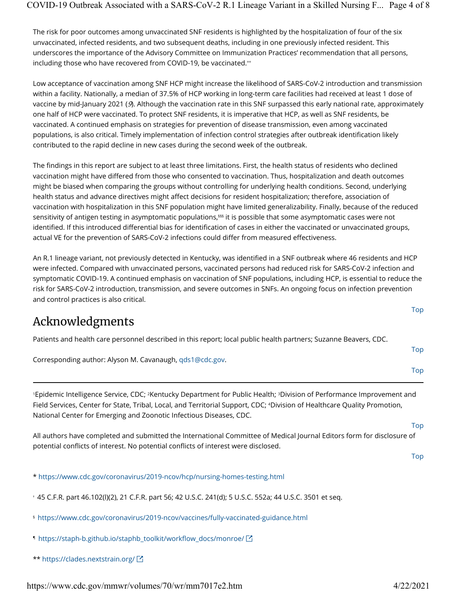The risk for poor outcomes among unvaccinated SNF residents is highlighted by the hospitalization of four of the six unvaccinated, infected residents, and two subsequent deaths, including in one previously infected resident. This underscores the importance of the Advisory Committee on Immunization Practices' recommendation that all persons, including those who have recovered from COVID-19, be vaccinated.""

Low acceptance of vaccination among SNF HCP might increase the likelihood of SARS-CoV-2 introduction and transmission within a facility. Nationally, a median of 37.5% of HCP working in long-term care facilities had received at least 1 dose of vaccine by mid-January 2021 (9). Although the vaccination rate in this SNF surpassed this early national rate, approximately one half of HCP were vaccinated. To protect SNF residents, it is imperative that HCP, as well as SNF residents, be vaccinated. A continued emphasis on strategies for prevention of disease transmission, even among vaccinated populations, is also critical. Timely implementation of infection control strategies after outbreak identification likely contributed to the rapid decline in new cases during the second week of the outbreak.

The findings in this report are subject to at least three limitations. First, the health status of residents who declined vaccination might have differed from those who consented to vaccination. Thus, hospitalization and death outcomes might be biased when comparing the groups without controlling for underlying health conditions. Second, underlying health status and advance directives might affect decisions for resident hospitalization; therefore, association of vaccination with hospitalization in this SNF population might have limited generalizability. Finally, because of the reduced sensitivity of antigen testing in asymptomatic populations, $^{sss}$  it is possible that some asymptomatic cases were not identified. If this introduced differential bias for identification of cases in either the vaccinated or unvaccinated groups, actual VE for the prevention of SARS-CoV-2 infections could differ from measured effectiveness.

An R.1 lineage variant, not previously detected in Kentucky, was identified in a SNF outbreak where 46 residents and HCP were infected. Compared with unvaccinated persons, vaccinated persons had reduced risk for SARS-CoV-2 infection and symptomatic COVID-19. A continued emphasis on vaccination of SNF populations, including HCP, is essential to reduce the risk for SARS-CoV-2 introduction, transmission, and severe outcomes in SNFs. An ongoing focus on infection prevention and control practices is also critical.

### Acknowledgments

|  |  | Patients and health care personnel described in this report; local public health partners; Suzanne Beavers, CDC. |
|--|--|------------------------------------------------------------------------------------------------------------------|

Corresponding author: Alyson M. Cavanaugh, qds1@cdc.gov.

'Epidemic Intelligence Service, CDC; <sup>2</sup>Kentucky Department for Public Health; <sup>3</sup>Division of Performance Improvement and Field Services, Center for State, Tribal, Local, and Territorial Support, CDC; <sup>4</sup>Division of Healthcare Quality Promotion, National Center for Emerging and Zoonotic Infectious Diseases, CDC.

All authors have completed and submitted the International Committee of Medical Journal Editors form for disclosure of potential conflicts of interest. No potential conflicts of interest were disclosed.

Top

Top

Top

Top

Top

\* https://www.cdc.gov/coronavirus/2019-ncov/hcp/nursing-homes-testing.html

45 C.F.R. part 46.102(l)(2), 21 C.F.R. part 56; 42 U.S.C. 241(d); 5 U.S.C. 552a; 44 U.S.C. 3501 et seq. †

https://www.cdc.gov/coronavirus/2019-ncov/vaccines/fully-vaccinated-guidance.html §

- https://staph-b.github.io/staphb\_toolkit/workflow\_docs/monroe/ ¶
- \*\* https://clades.nextstrain.org/

https://www.cdc.gov/mmwr/volumes/70/wr/mm7017e2.htm 4/22/2021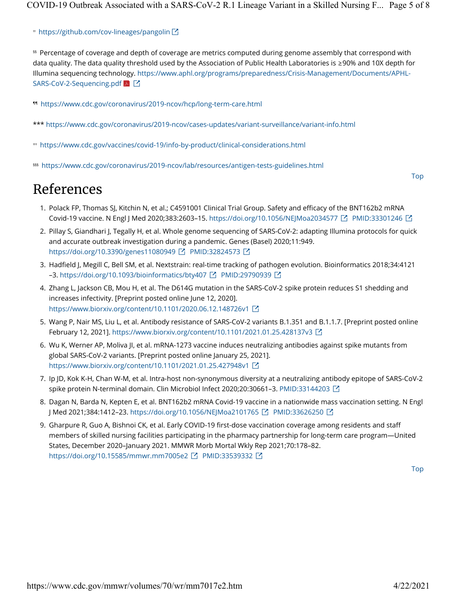https://github.com/cov-lineages/pangolin ††

Percentage of coverage and depth of coverage are metrics computed during genome assembly that correspond with §§ data quality. The data quality threshold used by the Association of Public Health Laboratories is ≥90% and 10X depth for Illumina sequencing technology. https://www.aphl.org/programs/preparedness/Crisis-Management/Documents/APHL-SARS-CoV-2-Sequencing.pdf

https://www.cdc.gov/coronavirus/2019-ncov/hcp/long-term-care.html ¶¶

- \*\*\* https://www.cdc.gov/coronavirus/2019-ncov/cases-updates/variant-surveillance/variant-info.html
- https://www.cdc.gov/vaccines/covid-19/info-by-product/clinical-considerations.html †††
- https://www.cdc.gov/coronavirus/2019-ncov/lab/resources/antigen-tests-guidelines.html §§§

### References

- Top
- 1. Polack FP, Thomas SJ, Kitchin N, et al.; C4591001 Clinical Trial Group. Safety and efficacy of the BNT162b2 mRNA Covid-19 vaccine. N Engl J Med 2020;383:2603–15. https://doi.org/10.1056/NEJMoa2034577 PMID:33301246
- 2. Pillay S, Giandhari J, Tegally H, et al. Whole genome sequencing of SARS-CoV-2: adapting Illumina protocols for quick and accurate outbreak investigation during a pandemic. Genes (Basel) 2020;11:949. https://doi.org/10.3390/genes11080949 [스 PMID:32824573 [스
- 3. Hadfield J, Megill C, Bell SM, et al. Nextstrain: real-time tracking of pathogen evolution. Bioinformatics 2018;34:4121 –3. https://doi.org/10.1093/bioinformatics/bty407 단 PMID:29790939 단
- 4. Zhang L, Jackson CB, Mou H, et al. The D614G mutation in the SARS-CoV-2 spike protein reduces S1 shedding and increases infectivity. [Preprint posted online June 12, 2020]. https://www.biorxiv.org/content/10.1101/2020.06.12.148726v1
- 5. Wang P, Nair MS, Liu L, et al. Antibody resistance of SARS-CoV-2 variants B.1.351 and B.1.1.7. [Preprint posted online February 12, 2021]. https://www.biorxiv.org/content/10.1101/2021.01.25.428137v3
- 6. Wu K, Werner AP, Moliva JI, et al. mRNA-1273 vaccine induces neutralizing antibodies against spike mutants from global SARS-CoV-2 variants. [Preprint posted online January 25, 2021]. https://www.biorxiv.org/content/10.1101/2021.01.25.427948v1
- 7. Ip JD, Kok K-H, Chan W-M, et al. Intra-host non-synonymous diversity at a neutralizing antibody epitope of SARS-CoV-2 spike protein N-terminal domain. Clin Microbiol Infect 2020;20:30661–3. PMID:33144203
- 8. Dagan N, Barda N, Kepten E, et al. BNT162b2 mRNA Covid-19 vaccine in a nationwide mass vaccination setting. N Engl J Med 2021;384:1412–23. https://doi.org/10.1056/NEJMoa2101765 PMID:33626250
- 9. Gharpure R, Guo A, Bishnoi CK, et al. Early COVID-19 first-dose vaccination coverage among residents and staff members of skilled nursing facilities participating in the pharmacy partnership for long-term care program—United States, December 2020–January 2021. MMWR Morb Mortal Wkly Rep 2021;70:178–82. https://doi.org/10.15585/mmwr.mm7005e2 [스 PMID:33539332 [스

Top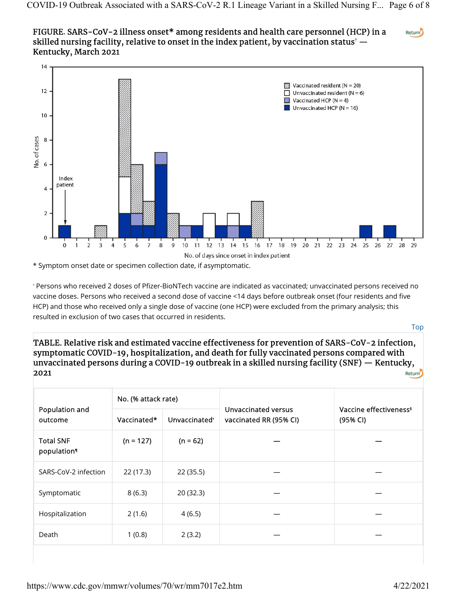#### FIGURE. SARS-CoV-2 illness onset\* among residents and health care personnel (HCP) in a Return<sup>5</sup> skilled nursing facility, relative to onset in the index patient, by vaccination status'  $\boldsymbol{-}$ Kentucky, March 2021



<sup>\*</sup> Symptom onset date or specimen collection date, if asymptomatic.

tersons who received 2 doses of Pfizer-BioNTech vaccine are indicated as vaccinated; unvaccinated persons received no والمعاشرة vaccine doses. Persons who received a second dose of vaccine <14 days before outbreak onset (four residents and five HCP) and those who received only a single dose of vaccine (one HCP) were excluded from the primary analysis; this resulted in exclusion of two cases that occurred in residents.

Top

TABLE. Relative risk and estimated vaccine effectiveness for prevention of SARS-CoV-2 infection, symptomatic COVID-19, hospitalization, and death for fully vaccinated persons compared with unvaccinated persons during a COVID-19 outbreak in a skilled nursing facility (SNF) — Kentucky, 2021 Return<sup>5</sup>

| Population and<br>outcome                   | No. (% attack rate) |                           |                                               |                                                |
|---------------------------------------------|---------------------|---------------------------|-----------------------------------------------|------------------------------------------------|
|                                             | Vaccinated*         | Unvaccinated <sup>+</sup> | Unvaccinated versus<br>vaccinated RR (95% CI) | Vaccine effectiveness <sup>§</sup><br>(95% CI) |
| <b>Total SNF</b><br>population <sup>1</sup> | $(n = 127)$         | $(n = 62)$                |                                               |                                                |
| SARS-CoV-2 infection                        | 22(17.3)            | 22(35.5)                  |                                               |                                                |
| Symptomatic                                 | 8(6.3)              | 20(32.3)                  |                                               |                                                |
| Hospitalization                             | 2(1.6)              | 4(6.5)                    |                                               |                                                |
| Death                                       | 1(0.8)              | 2(3.2)                    |                                               |                                                |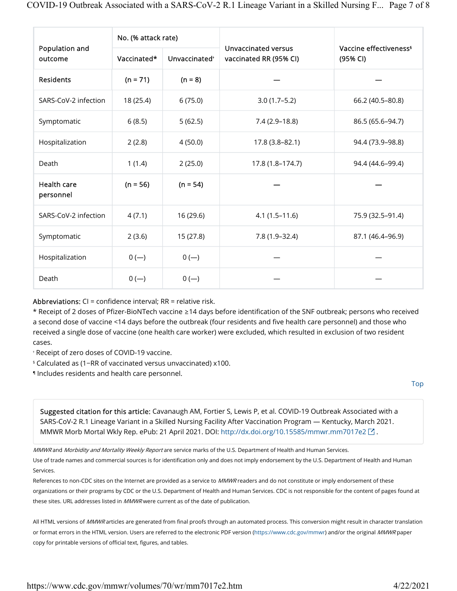| Population and<br>outcome | No. (% attack rate) |                           |                                               |                                                |
|---------------------------|---------------------|---------------------------|-----------------------------------------------|------------------------------------------------|
|                           | Vaccinated*         | Unvaccinated <sup>+</sup> | Unvaccinated versus<br>vaccinated RR (95% CI) | Vaccine effectiveness <sup>§</sup><br>(95% CI) |
| <b>Residents</b>          | $(n = 71)$          | $(n = 8)$                 |                                               |                                                |
| SARS-CoV-2 infection      | 18 (25.4)           | 6(75.0)                   | $3.0(1.7-5.2)$                                | 66.2 (40.5-80.8)                               |
| Symptomatic               | 6(8.5)              | 5(62.5)                   | $7.4(2.9-18.8)$                               | 86.5 (65.6-94.7)                               |
| Hospitalization           | 2(2.8)              | 4(50.0)                   | 17.8 (3.8-82.1)                               | 94.4 (73.9-98.8)                               |
| Death                     | 1(1.4)              | 2(25.0)                   | 17.8 (1.8-174.7)                              | 94.4 (44.6-99.4)                               |
| Health care<br>personnel  | $(n = 56)$          | $(n = 54)$                |                                               |                                                |
| SARS-CoV-2 infection      | 4(7.1)              | 16 (29.6)                 | $4.1(1.5-11.6)$                               | 75.9 (32.5-91.4)                               |
| Symptomatic               | 2(3.6)              | 15 (27.8)                 | $7.8(1.9 - 32.4)$                             | 87.1 (46.4-96.9)                               |
| Hospitalization           | $0(-)$              | $0 (-)$                   |                                               |                                                |
| Death                     | $0(-)$              | $0(-)$                    |                                               |                                                |

Abbreviations:  $CI = confidence$  interval;  $RR = relative$  risk.

\* Receipt of 2 doses of Pfizer-BioNTech vaccine ≥14 days before identification of the SNF outbreak; persons who received a second dose of vaccine <14 days before the outbreak (four residents and five health care personnel) and those who received a single dose of vaccine (one health care worker) were excluded, which resulted in exclusion of two resident cases.

Receipt of zero doses of COVID-19 vaccine. †

- Calculated as (1−RR of vaccinated versus unvaccinated) x100. §
- Includes residents and health care personnel. ¶

Top

Suggested citation for this article: Cavanaugh AM, Fortier S, Lewis P, et al. COVID-19 Outbreak Associated with a SARS-CoV-2 R.1 Lineage Variant in a Skilled Nursing Facility After Vaccination Program — Kentucky, March 2021. MMWR Morb Mortal Wkly Rep. ePub: 21 April 2021. DOI: http://dx.doi.org/10.15585/mmwr.mm7017e2  $\boxtimes$ .

MMWR and Morbidity and Mortality Weekly Report are service marks of the U.S. Department of Health and Human Services.

Use of trade names and commercial sources is for identification only and does not imply endorsement by the U.S. Department of Health and Human Services.

References to non-CDC sites on the Internet are provided as a service to MMWR readers and do not constitute or imply endorsement of these organizations or their programs by CDC or the U.S. Department of Health and Human Services. CDC is not responsible for the content of pages found at these sites. URL addresses listed in  $MMWR$  were current as of the date of publication.

All HTML versions of MMWR articles are generated from final proofs through an automated process. This conversion might result in character translation or format errors in the HTML version. Users are referred to the electronic PDF version (https://www.cdc.gov/mmwr) and/or the original MMWR paper copy for printable versions of official text, figures, and tables.